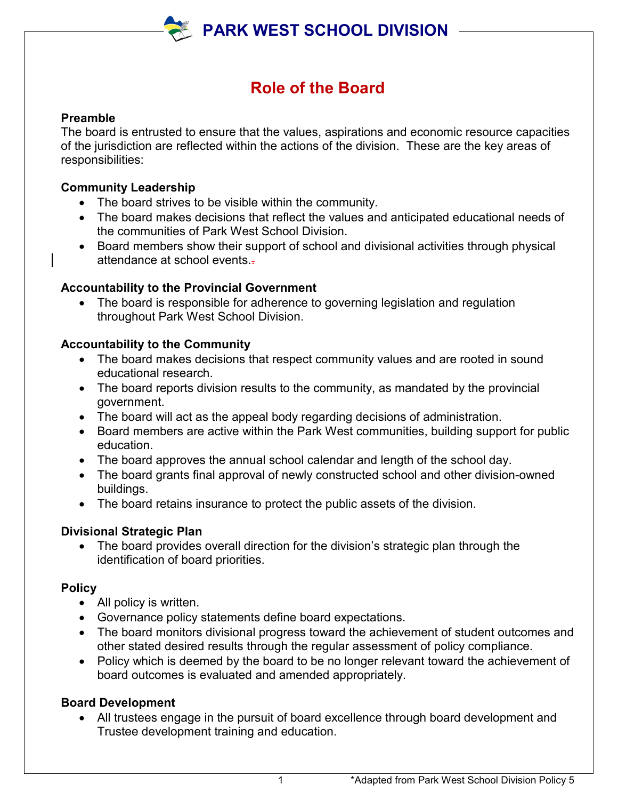

# **Role of the Board**

#### **Preamble**

The board is entrusted to ensure that the values, aspirations and economic resource capacities of the jurisdiction are reflected within the actions of the division. These are the key areas of responsibilities:

#### **Community Leadership**

- The board strives to be visible within the community.
- The board makes decisions that reflect the values and anticipated educational needs of the communities of Park West School Division.
- Board members show their support of school and divisional activities through physical attendance at school events..

#### **Accountability to the Provincial Government**

• The board is responsible for adherence to governing legislation and regulation throughout Park West School Division.

## **Accountability to the Community**

- The board makes decisions that respect community values and are rooted in sound educational research.
- The board reports division results to the community, as mandated by the provincial government.
- The board will act as the appeal body regarding decisions of administration.
- Board members are active within the Park West communities, building support for public education.
- The board approves the annual school calendar and length of the school day.
- The board grants final approval of newly constructed school and other division-owned buildings.
- The board retains insurance to protect the public assets of the division.

## **Divisional Strategic Plan**

• The board provides overall direction for the division's strategic plan through the identification of board priorities.

#### **Policy**

- All policy is written.
- Governance policy statements define board expectations.
- The board monitors divisional progress toward the achievement of student outcomes and other stated desired results through the regular assessment of policy compliance.
- Policy which is deemed by the board to be no longer relevant toward the achievement of board outcomes is evaluated and amended appropriately.

## **Board Development**

• All trustees engage in the pursuit of board excellence through board development and Trustee development training and education.